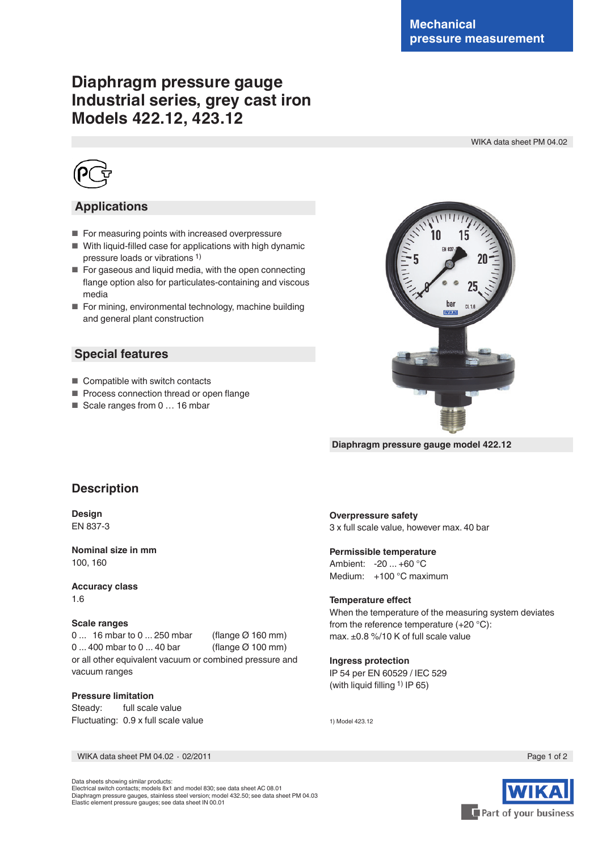# **Diaphragm pressure gauge Industrial series, grey cast iron Models 422.12, 423.12**

WIKA data sheet PM 04.02



# **Applications**

- For measuring points with increased overpressure
- With liquid-filled case for applications with high dynamic pressure loads or vibrations 1)
- For gaseous and liquid media, with the open connecting flange option also for particulates-containing and viscous media
- For mining, environmental technology, machine building and general plant construction

# **Special features**

- Compatible with switch contacts
- Process connection thread or open flange
- Scale ranges from 0 ... 16 mbar



 **Diaphragm pressure gauge model 422.12**

# **Description**

**Design** EN 837-3

**Nominal size in mm** 100, 160

**Accuracy class** 1.6

## **Scale ranges**

0 ... 16 mbar to 0 ... 250 mbar (flange Ø 160 mm) 0 ... 400 mbar to 0 ... 40 bar (flange Ø 100 mm) or all other equivalent vacuum or combined pressure and vacuum ranges

#### **Pressure limitation**

Steady: full scale value Fluctuating: 0.9 x full scale value

# **Overpressure safety**

3 x full scale value, however max. 40 bar

# **Permissible temperature**

Ambient: -20 ... +60 °C Medium: +100 °C maximum

## **Temperature effect**

When the temperature of the measuring system deviates from the reference temperature (+20 °C): max. ±0.8 %/10 K of full scale value

#### **Ingress protection**

IP 54 per EN 60529 / IEC 529 (with liquid filling 1) IP 65)

1) Model 423.12

WIKA data sheet PM 04.02 ⋅ 02/2011 Page 1 of 2

Data sheets showing similar products: Electrical switch contacts; models 8x1 and model 830; see data sheet AC 08.01 Diaphragm pressure gauges, stainless steel version; model 432.50; see data sheet PM 04.03 Elastic element pressure gauges; see data sheet IN 00.01